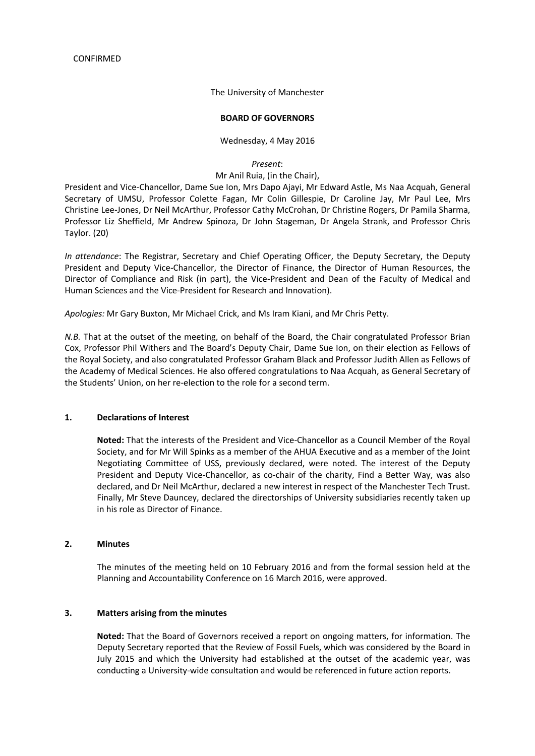The University of Manchester

#### **BOARD OF GOVERNORS**

Wednesday, 4 May 2016

*Present*:

### Mr Anil Ruia, (in the Chair),

President and Vice-Chancellor, Dame Sue Ion, Mrs Dapo Ajayi, Mr Edward Astle, Ms Naa Acquah, General Secretary of UMSU, Professor Colette Fagan, Mr Colin Gillespie, Dr Caroline Jay, Mr Paul Lee, Mrs Christine Lee-Jones, Dr Neil McArthur, Professor Cathy McCrohan, Dr Christine Rogers, Dr Pamila Sharma, Professor Liz Sheffield, Mr Andrew Spinoza, Dr John Stageman, Dr Angela Strank, and Professor Chris Taylor. (20)

*In attendance*: The Registrar, Secretary and Chief Operating Officer, the Deputy Secretary, the Deputy President and Deputy Vice-Chancellor, the Director of Finance, the Director of Human Resources, the Director of Compliance and Risk (in part), the Vice-President and Dean of the Faculty of Medical and Human Sciences and the Vice-President for Research and Innovation).

*Apologies:* Mr Gary Buxton, Mr Michael Crick, and Ms Iram Kiani, and Mr Chris Petty.

*N.B.* That at the outset of the meeting, on behalf of the Board, the Chair congratulated Professor Brian Cox, Professor Phil Withers and The Board's Deputy Chair, Dame Sue Ion, on their election as Fellows of the Royal Society, and also congratulated Professor Graham Black and Professor Judith Allen as Fellows of the Academy of Medical Sciences. He also offered congratulations to Naa Acquah, as General Secretary of the Students' Union, on her re-election to the role for a second term.

# **1. Declarations of Interest**

**Noted:** That the interests of the President and Vice-Chancellor as a Council Member of the Royal Society, and for Mr Will Spinks as a member of the AHUA Executive and as a member of the Joint Negotiating Committee of USS, previously declared, were noted. The interest of the Deputy President and Deputy Vice-Chancellor, as co-chair of the charity, Find a Better Way, was also declared, and Dr Neil McArthur, declared a new interest in respect of the Manchester Tech Trust. Finally, Mr Steve Dauncey, declared the directorships of University subsidiaries recently taken up in his role as Director of Finance.

### **2. Minutes**

The minutes of the meeting held on 10 February 2016 and from the formal session held at the Planning and Accountability Conference on 16 March 2016, were approved.

### **3. Matters arising from the minutes**

**Noted:** That the Board of Governors received a report on ongoing matters, for information. The Deputy Secretary reported that the Review of Fossil Fuels, which was considered by the Board in July 2015 and which the University had established at the outset of the academic year, was conducting a University-wide consultation and would be referenced in future action reports.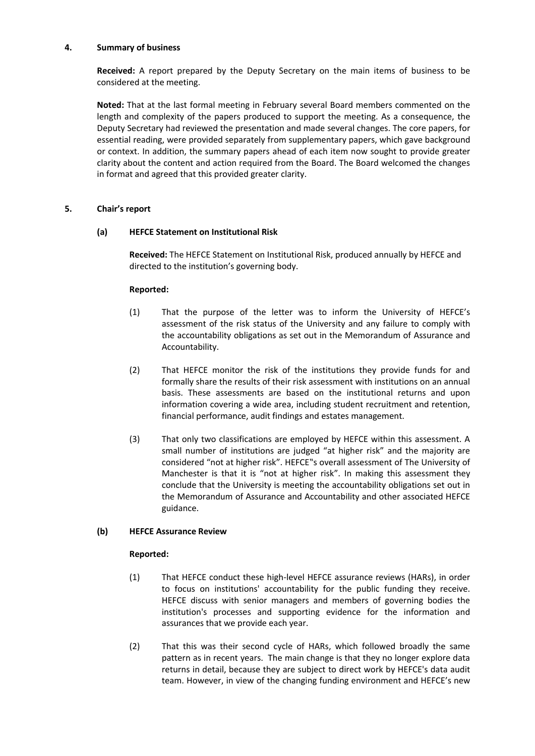### **4. Summary of business**

**Received:** A report prepared by the Deputy Secretary on the main items of business to be considered at the meeting.

**Noted:** That at the last formal meeting in February several Board members commented on the length and complexity of the papers produced to support the meeting. As a consequence, the Deputy Secretary had reviewed the presentation and made several changes. The core papers, for essential reading, were provided separately from supplementary papers, which gave background or context. In addition, the summary papers ahead of each item now sought to provide greater clarity about the content and action required from the Board. The Board welcomed the changes in format and agreed that this provided greater clarity.

# **5. Chair's report**

# **(a) HEFCE Statement on Institutional Risk**

**Received:** The HEFCE Statement on Institutional Risk, produced annually by HEFCE and directed to the institution's governing body.

# **Reported:**

- (1) That the purpose of the letter was to inform the University of HEFCE's assessment of the risk status of the University and any failure to comply with the accountability obligations as set out in the Memorandum of Assurance and Accountability.
- (2) That HEFCE monitor the risk of the institutions they provide funds for and formally share the results of their risk assessment with institutions on an annual basis. These assessments are based on the institutional returns and upon information covering a wide area, including student recruitment and retention, financial performance, audit findings and estates management.
- (3) That only two classifications are employed by HEFCE within this assessment. A small number of institutions are judged "at higher risk" and the majority are considered "not at higher risk". HEFCE"s overall assessment of The University of Manchester is that it is "not at higher risk". In making this assessment they conclude that the University is meeting the accountability obligations set out in the Memorandum of Assurance and Accountability and other associated HEFCE guidance.

# **(b) HEFCE Assurance Review**

- (1) That HEFCE conduct these high-level HEFCE assurance reviews (HARs), in order to focus on institutions' accountability for the public funding they receive. HEFCE discuss with senior managers and members of governing bodies the institution's processes and supporting evidence for the information and assurances that we provide each year.
- (2) That this was their second cycle of HARs, which followed broadly the same pattern as in recent years. The main change is that they no longer explore data returns in detail, because they are subject to direct work by HEFCE's data audit team. However, in view of the changing funding environment and HEFCE's new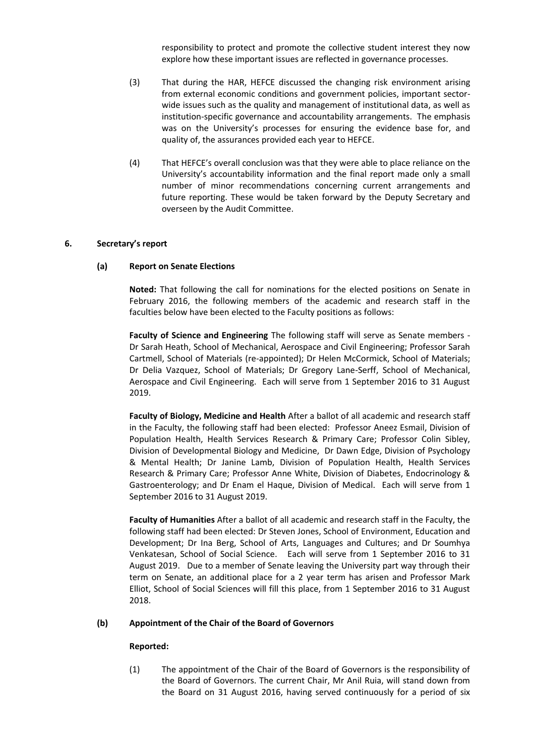responsibility to protect and promote the collective student interest they now explore how these important issues are reflected in governance processes.

- (3) That during the HAR, HEFCE discussed the changing risk environment arising from external economic conditions and government policies, important sectorwide issues such as the quality and management of institutional data, as well as institution-specific governance and accountability arrangements. The emphasis was on the University's processes for ensuring the evidence base for, and quality of, the assurances provided each year to HEFCE.
- (4) That HEFCE's overall conclusion was that they were able to place reliance on the University's accountability information and the final report made only a small number of minor recommendations concerning current arrangements and future reporting. These would be taken forward by the Deputy Secretary and overseen by the Audit Committee.

#### **6. Secretary's report**

#### **(a) Report on Senate Elections**

**Noted:** That following the call for nominations for the elected positions on Senate in February 2016, the following members of the academic and research staff in the faculties below have been elected to the Faculty positions as follows:

**Faculty of Science and Engineering** The following staff will serve as Senate members - Dr Sarah Heath, School of Mechanical, Aerospace and Civil Engineering; Professor Sarah Cartmell, School of Materials (re-appointed); Dr Helen McCormick, School of Materials; Dr Delia Vazquez, School of Materials; Dr Gregory Lane-Serff, School of Mechanical, Aerospace and Civil Engineering. Each will serve from 1 September 2016 to 31 August 2019.

**Faculty of Biology, Medicine and Health** After a ballot of all academic and research staff in the Faculty, the following staff had been elected: Professor Aneez Esmail, Division of Population Health, Health Services Research & Primary Care; Professor Colin Sibley, Division of Developmental Biology and Medicine, Dr Dawn Edge, Division of Psychology & Mental Health; Dr Janine Lamb, Division of Population Health, Health Services Research & Primary Care; Professor Anne White, Division of Diabetes, Endocrinology & Gastroenterology; and Dr Enam el Haque, Division of Medical. Each will serve from 1 September 2016 to 31 August 2019.

**Faculty of Humanities** After a ballot of all academic and research staff in the Faculty, the following staff had been elected: Dr Steven Jones, School of Environment, Education and Development; Dr Ina Berg, School of Arts, Languages and Cultures; and Dr Soumhya Venkatesan, School of Social Science. Each will serve from 1 September 2016 to 31 August 2019. Due to a member of Senate leaving the University part way through their term on Senate, an additional place for a 2 year term has arisen and Professor Mark Elliot, School of Social Sciences will fill this place, from 1 September 2016 to 31 August 2018.

#### **(b) Appointment of the Chair of the Board of Governors**

#### **Reported:**

(1) The appointment of the Chair of the Board of Governors is the responsibility of the Board of Governors. The current Chair, Mr Anil Ruia, will stand down from the Board on 31 August 2016, having served continuously for a period of six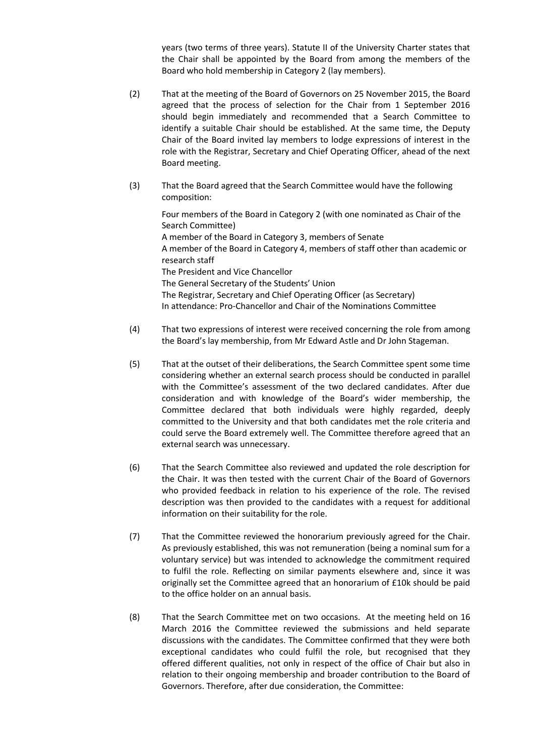years (two terms of three years). Statute II of the University Charter states that the Chair shall be appointed by the Board from among the members of the Board who hold membership in Category 2 (lay members).

- (2) That at the meeting of the Board of Governors on 25 November 2015, the Board agreed that the process of selection for the Chair from 1 September 2016 should begin immediately and recommended that a Search Committee to identify a suitable Chair should be established. At the same time, the Deputy Chair of the Board invited lay members to lodge expressions of interest in the role with the Registrar, Secretary and Chief Operating Officer, ahead of the next Board meeting.
- (3) That the Board agreed that the Search Committee would have the following composition:

Four members of the Board in Category 2 (with one nominated as Chair of the Search Committee) A member of the Board in Category 3, members of Senate A member of the Board in Category 4, members of staff other than academic or research staff The President and Vice Chancellor The General Secretary of the Students' Union The Registrar, Secretary and Chief Operating Officer (as Secretary) In attendance: Pro-Chancellor and Chair of the Nominations Committee

- (4) That two expressions of interest were received concerning the role from among the Board's lay membership, from Mr Edward Astle and Dr John Stageman.
- (5) That at the outset of their deliberations, the Search Committee spent some time considering whether an external search process should be conducted in parallel with the Committee's assessment of the two declared candidates. After due consideration and with knowledge of the Board's wider membership, the Committee declared that both individuals were highly regarded, deeply committed to the University and that both candidates met the role criteria and could serve the Board extremely well. The Committee therefore agreed that an external search was unnecessary.
- (6) That the Search Committee also reviewed and updated the role description for the Chair. It was then tested with the current Chair of the Board of Governors who provided feedback in relation to his experience of the role. The revised description was then provided to the candidates with a request for additional information on their suitability for the role.
- (7) That the Committee reviewed the honorarium previously agreed for the Chair. As previously established, this was not remuneration (being a nominal sum for a voluntary service) but was intended to acknowledge the commitment required to fulfil the role. Reflecting on similar payments elsewhere and, since it was originally set the Committee agreed that an honorarium of £10k should be paid to the office holder on an annual basis.
- (8) That the Search Committee met on two occasions. At the meeting held on 16 March 2016 the Committee reviewed the submissions and held separate discussions with the candidates. The Committee confirmed that they were both exceptional candidates who could fulfil the role, but recognised that they offered different qualities, not only in respect of the office of Chair but also in relation to their ongoing membership and broader contribution to the Board of Governors. Therefore, after due consideration, the Committee: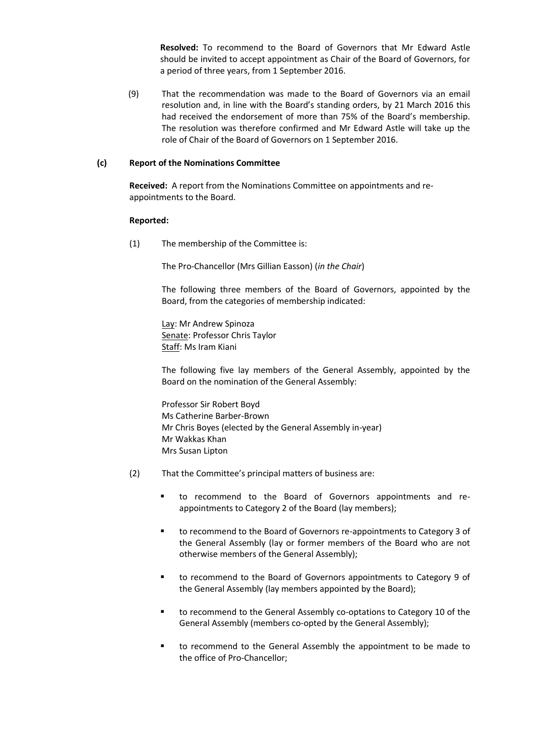**Resolved:** To recommend to the Board of Governors that Mr Edward Astle should be invited to accept appointment as Chair of the Board of Governors, for a period of three years, from 1 September 2016.

(9) That the recommendation was made to the Board of Governors via an email resolution and, in line with the Board's standing orders, by 21 March 2016 this had received the endorsement of more than 75% of the Board's membership. The resolution was therefore confirmed and Mr Edward Astle will take up the role of Chair of the Board of Governors on 1 September 2016.

### **(c) Report of the Nominations Committee**

**Received:** A report from the Nominations Committee on appointments and reappointments to the Board.

#### **Reported:**

(1) The membership of the Committee is:

The Pro-Chancellor (Mrs Gillian Easson) (*in the Chair*)

The following three members of the Board of Governors, appointed by the Board, from the categories of membership indicated:

Lay: Mr Andrew Spinoza Senate: Professor Chris Taylor Staff: Ms Iram Kiani

The following five lay members of the General Assembly, appointed by the Board on the nomination of the General Assembly:

Professor Sir Robert Boyd Ms Catherine Barber-Brown Mr Chris Boyes (elected by the General Assembly in-year) Mr Wakkas Khan Mrs Susan Lipton

- (2) That the Committee's principal matters of business are:
	- to recommend to the Board of Governors appointments and reappointments to Category 2 of the Board (lay members);
	- to recommend to the Board of Governors re-appointments to Category 3 of the General Assembly (lay or former members of the Board who are not otherwise members of the General Assembly);
	- to recommend to the Board of Governors appointments to Category 9 of the General Assembly (lay members appointed by the Board);
	- to recommend to the General Assembly co-optations to Category 10 of the General Assembly (members co-opted by the General Assembly);
	- to recommend to the General Assembly the appointment to be made to the office of Pro-Chancellor;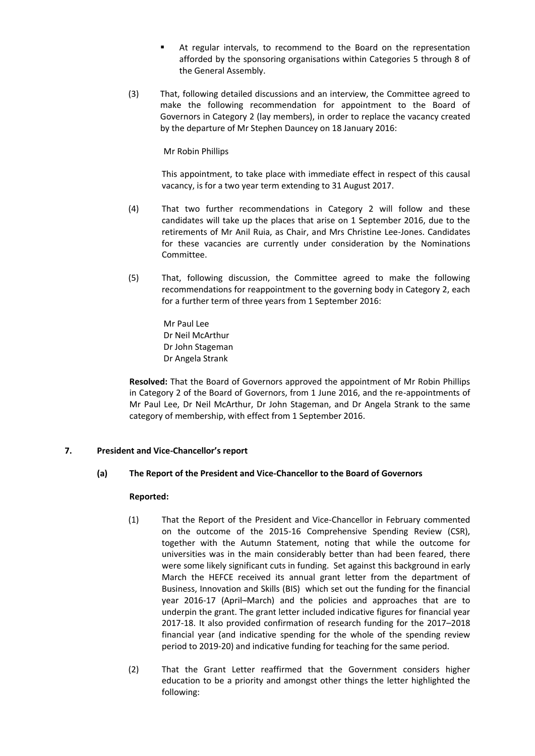- At regular intervals, to recommend to the Board on the representation afforded by the sponsoring organisations within Categories 5 through 8 of the General Assembly.
- (3) That, following detailed discussions and an interview, the Committee agreed to make the following recommendation for appointment to the Board of Governors in Category 2 (lay members), in order to replace the vacancy created by the departure of Mr Stephen Dauncey on 18 January 2016:

Mr Robin Phillips

This appointment, to take place with immediate effect in respect of this causal vacancy, is for a two year term extending to 31 August 2017.

- (4) That two further recommendations in Category 2 will follow and these candidates will take up the places that arise on 1 September 2016, due to the retirements of Mr Anil Ruia, as Chair, and Mrs Christine Lee-Jones. Candidates for these vacancies are currently under consideration by the Nominations Committee.
- (5) That, following discussion, the Committee agreed to make the following recommendations for reappointment to the governing body in Category 2, each for a further term of three years from 1 September 2016:
	- Mr Paul Lee Dr Neil McArthur Dr John Stageman Dr Angela Strank

**Resolved:** That the Board of Governors approved the appointment of Mr Robin Phillips in Category 2 of the Board of Governors, from 1 June 2016, and the re-appointments of Mr Paul Lee, Dr Neil McArthur, Dr John Stageman, and Dr Angela Strank to the same category of membership, with effect from 1 September 2016.

# **7. President and Vice-Chancellor's report**

### **(a) The Report of the President and Vice-Chancellor to the Board of Governors**

- (1) That the Report of the President and Vice-Chancellor in February commented on the outcome of the 2015-16 Comprehensive Spending Review (CSR), together with the Autumn Statement, noting that while the outcome for universities was in the main considerably better than had been feared, there were some likely significant cuts in funding. Set against this background in early March the HEFCE received its annual grant letter from the department of Business, Innovation and Skills (BIS) which set out the funding for the financial year 2016-17 (April–March) and the policies and approaches that are to underpin the grant. The grant letter included indicative figures for financial year 2017-18. It also provided confirmation of research funding for the 2017–2018 financial year (and indicative spending for the whole of the spending review period to 2019-20) and indicative funding for teaching for the same period.
- (2) That the Grant Letter reaffirmed that the Government considers higher education to be a priority and amongst other things the letter highlighted the following: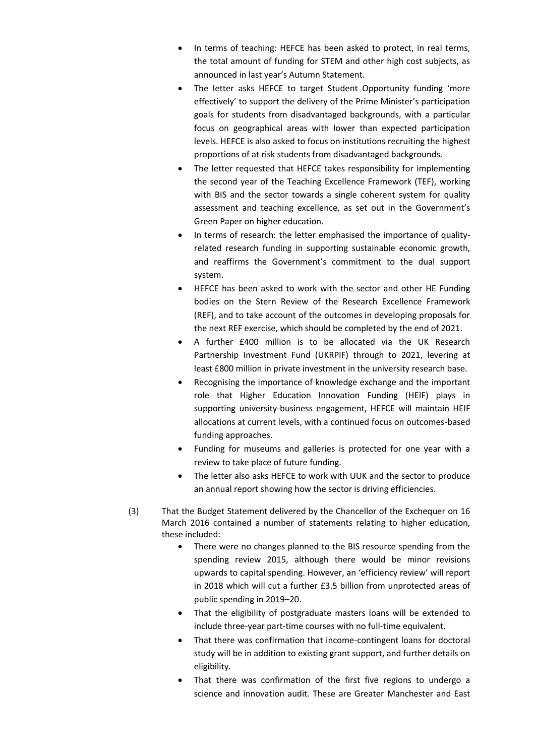- In terms of teaching: HEFCE has been asked to protect, in real terms, the total amount of funding for STEM and other high cost subjects, as announced in last year's Autumn Statement.
- The letter asks HEFCE to target Student Opportunity funding 'more effectively' to support the delivery of the Prime Minister's participation goals for students from disadvantaged backgrounds, with a particular focus on geographical areas with lower than expected participation levels. HEFCE is also asked to focus on institutions recruiting the highest proportions of at risk students from disadvantaged backgrounds.
- The letter requested that HEFCE takes responsibility for implementing the second year of the Teaching Excellence Framework (TEF), working with BIS and the sector towards a single coherent system for quality assessment and teaching excellence, as set out in the Government's Green Paper on higher education.
- In terms of research: the letter emphasised the importance of qualityrelated research funding in supporting sustainable economic growth, and reaffirms the Government's commitment to the dual support system.
- HEFCE has been asked to work with the sector and other HE Funding bodies on the Stern Review of the Research Excellence Framework (REF), and to take account of the outcomes in developing proposals for the next REF exercise, which should be completed by the end of 2021.
- A further £400 million is to be allocated via the UK Research Partnership Investment Fund (UKRPIF) through to 2021, levering at least £800 million in private investment in the university research base.
- Recognising the importance of knowledge exchange and the important role that Higher Education Innovation Funding (HEIF) plays in supporting university-business engagement, HEFCE will maintain HEIF allocations at current levels, with a continued focus on outcomes-based funding approaches.
- Funding for museums and galleries is protected for one year with a review to take place of future funding.
- The letter also asks HEFCE to work with UUK and the sector to produce an annual report showing how the sector is driving efficiencies.
- (3) That the Budget Statement delivered by the Chancellor of the Exchequer on 16 March 2016 contained a number of statements relating to higher education, these included:
	- There were no changes planned to the BIS resource spending from the spending review 2015, although there would be minor revisions upwards to capital spending. However, an 'efficiency review' will report in 2018 which will cut a further £3.5 billion from unprotected areas of public spending in 2019–20.
	- That the eligibility of postgraduate masters loans will be extended to include three-year part-time courses with no full-time equivalent.
	- That there was confirmation that income-contingent loans for doctoral study will be in addition to existing grant support, and further details on eligibility.
	- That there was confirmation of the first five regions to undergo a science and innovation audit. These are Greater Manchester and East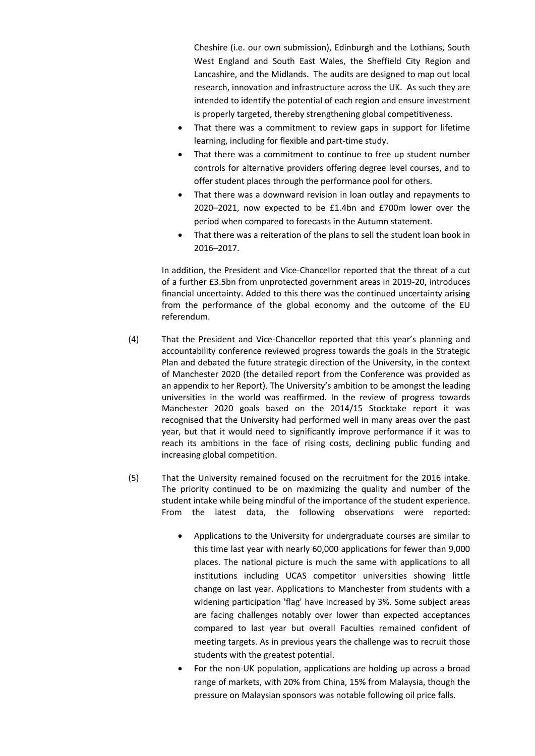Cheshire (i.e. our own submission), Edinburgh and the Lothians, South West England and South East Wales, the Sheffield City Region and Lancashire, and the Midlands. The audits are designed to map out local research, innovation and infrastructure across the UK. As such they are intended to identify the potential of each region and ensure investment is properly targeted, thereby strengthening global competitiveness.

- That there was a commitment to review gaps in support for lifetime learning, including for flexible and part-time study.
- That there was a commitment to continue to free up student number controls for alternative providers offering degree level courses, and to offer student places through the performance pool for others.
- That there was a downward revision in loan outlay and repayments to 2020–2021, now expected to be £1.4bn and £700m lower over the period when compared to forecasts in the Autumn statement.
- That there was a reiteration of the plans to sell the student loan book in 2016–2017.

In addition, the President and Vice-Chancellor reported that the threat of a cut of a further £3.5bn from unprotected government areas in 2019-20, introduces financial uncertainty. Added to this there was the continued uncertainty arising from the performance of the global economy and the outcome of the EU referendum.

- (4) That the President and Vice-Chancellor reported that this year's planning and accountability conference reviewed progress towards the goals in the Strategic Plan and debated the future strategic direction of the University, in the context of Manchester 2020 (the detailed report from the Conference was provided as an appendix to her Report). The University's ambition to be amongst the leading universities in the world was reaffirmed. In the review of progress towards Manchester 2020 goals based on the 2014/15 Stocktake report it was recognised that the University had performed well in many areas over the past year, but that it would need to significantly improve performance if it was to reach its ambitions in the face of rising costs, declining public funding and increasing global competition.
- (5) That the University remained focused on the recruitment for the 2016 intake. The priority continued to be on maximizing the quality and number of the student intake while being mindful of the importance of the student experience. From the latest data, the following observations were reported:
	- Applications to the University for undergraduate courses are similar to this time last year with nearly 60,000 applications for fewer than 9,000 places. The national picture is much the same with applications to all institutions including UCAS competitor universities showing little change on last year. Applications to Manchester from students with a widening participation 'flag' have increased by 3%. Some subject areas are facing challenges notably over lower than expected acceptances compared to last year but overall Faculties remained confident of meeting targets. As in previous years the challenge was to recruit those students with the greatest potential.
	- For the non-UK population, applications are holding up across a broad range of markets, with 20% from China, 15% from Malaysia, though the pressure on Malaysian sponsors was notable following oil price falls.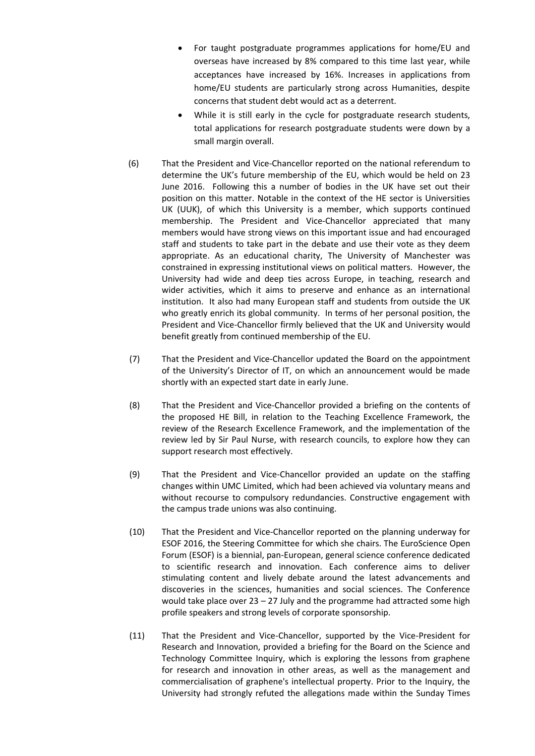- For taught postgraduate programmes applications for home/EU and overseas have increased by 8% compared to this time last year, while acceptances have increased by 16%. Increases in applications from home/EU students are particularly strong across Humanities, despite concerns that student debt would act as a deterrent.
- While it is still early in the cycle for postgraduate research students, total applications for research postgraduate students were down by a small margin overall.
- (6) That the President and Vice-Chancellor reported on the national referendum to determine the UK's future membership of the EU, which would be held on 23 June 2016. Following this a number of bodies in the UK have set out their position on this matter. Notable in the context of the HE sector is Universities UK (UUK), of which this University is a member, which supports continued membership. The President and Vice-Chancellor appreciated that many members would have strong views on this important issue and had encouraged staff and students to take part in the debate and use their vote as they deem appropriate. As an educational charity, The University of Manchester was constrained in expressing institutional views on political matters. However, the University had wide and deep ties across Europe, in teaching, research and wider activities, which it aims to preserve and enhance as an international institution. It also had many European staff and students from outside the UK who greatly enrich its global community. In terms of her personal position, the President and Vice-Chancellor firmly believed that the UK and University would benefit greatly from continued membership of the EU.
- (7) That the President and Vice-Chancellor updated the Board on the appointment of the University's Director of IT, on which an announcement would be made shortly with an expected start date in early June.
- (8) That the President and Vice-Chancellor provided a briefing on the contents of the proposed HE Bill, in relation to the Teaching Excellence Framework, the review of the Research Excellence Framework, and the implementation of the review led by Sir Paul Nurse, with research councils, to explore how they can support research most effectively.
- (9) That the President and Vice-Chancellor provided an update on the staffing changes within UMC Limited, which had been achieved via voluntary means and without recourse to compulsory redundancies. Constructive engagement with the campus trade unions was also continuing.
- (10) That the President and Vice-Chancellor reported on the planning underway for ESOF 2016, the Steering Committee for which she chairs. The EuroScience Open Forum (ESOF) is a biennial, pan-European, general science conference dedicated to scientific research and innovation. Each conference aims to deliver stimulating content and lively debate around the latest advancements and discoveries in the sciences, humanities and social sciences. The Conference would take place over 23 – 27 July and the programme had attracted some high profile speakers and strong levels of corporate sponsorship.
- (11) That the President and Vice-Chancellor, supported by the Vice-President for Research and Innovation, provided a briefing for the Board on the Science and Technology Committee Inquiry, which is exploring the lessons from graphene for research and innovation in other areas, as well as the management and commercialisation of graphene's intellectual property. Prior to the Inquiry, the University had strongly refuted the allegations made within the Sunday Times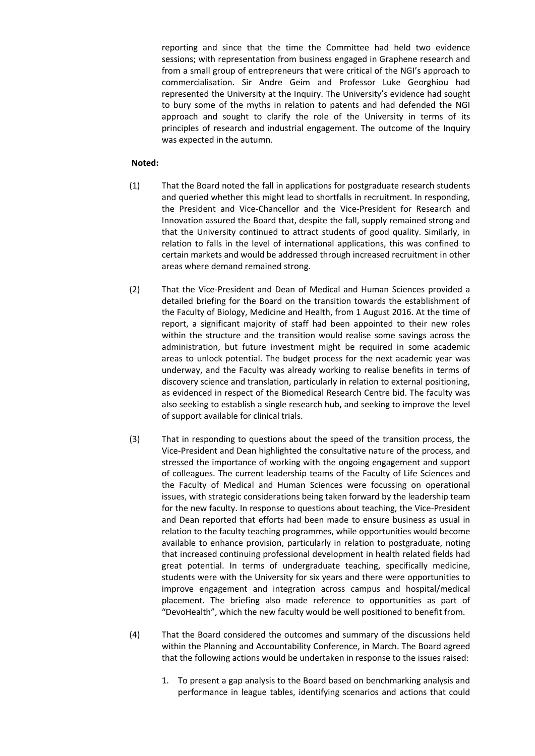reporting and since that the time the Committee had held two evidence sessions; with representation from business engaged in Graphene research and from a small group of entrepreneurs that were critical of the NGI's approach to commercialisation. Sir Andre Geim and Professor Luke Georghiou had represented the University at the Inquiry. The University's evidence had sought to bury some of the myths in relation to patents and had defended the NGI approach and sought to clarify the role of the University in terms of its principles of research and industrial engagement. The outcome of the Inquiry was expected in the autumn.

### **Noted:**

- (1) That the Board noted the fall in applications for postgraduate research students and queried whether this might lead to shortfalls in recruitment. In responding, the President and Vice-Chancellor and the Vice-President for Research and Innovation assured the Board that, despite the fall, supply remained strong and that the University continued to attract students of good quality. Similarly, in relation to falls in the level of international applications, this was confined to certain markets and would be addressed through increased recruitment in other areas where demand remained strong.
- (2) That the Vice-President and Dean of Medical and Human Sciences provided a detailed briefing for the Board on the transition towards the establishment of the Faculty of Biology, Medicine and Health, from 1 August 2016. At the time of report, a significant majority of staff had been appointed to their new roles within the structure and the transition would realise some savings across the administration, but future investment might be required in some academic areas to unlock potential. The budget process for the next academic year was underway, and the Faculty was already working to realise benefits in terms of discovery science and translation, particularly in relation to external positioning, as evidenced in respect of the Biomedical Research Centre bid. The faculty was also seeking to establish a single research hub, and seeking to improve the level of support available for clinical trials.
- (3) That in responding to questions about the speed of the transition process, the Vice-President and Dean highlighted the consultative nature of the process, and stressed the importance of working with the ongoing engagement and support of colleagues. The current leadership teams of the Faculty of Life Sciences and the Faculty of Medical and Human Sciences were focussing on operational issues, with strategic considerations being taken forward by the leadership team for the new faculty. In response to questions about teaching, the Vice-President and Dean reported that efforts had been made to ensure business as usual in relation to the faculty teaching programmes, while opportunities would become available to enhance provision, particularly in relation to postgraduate, noting that increased continuing professional development in health related fields had great potential. In terms of undergraduate teaching, specifically medicine, students were with the University for six years and there were opportunities to improve engagement and integration across campus and hospital/medical placement. The briefing also made reference to opportunities as part of "DevoHealth", which the new faculty would be well positioned to benefit from.
- (4) That the Board considered the outcomes and summary of the discussions held within the Planning and Accountability Conference, in March. The Board agreed that the following actions would be undertaken in response to the issues raised:
	- 1. To present a gap analysis to the Board based on benchmarking analysis and performance in league tables, identifying scenarios and actions that could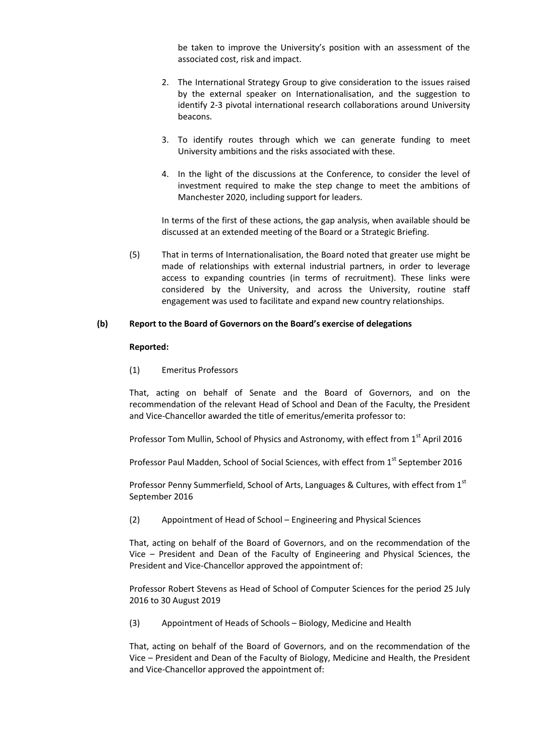be taken to improve the University's position with an assessment of the associated cost, risk and impact.

- 2. The International Strategy Group to give consideration to the issues raised by the external speaker on Internationalisation, and the suggestion to identify 2-3 pivotal international research collaborations around University beacons.
- 3. To identify routes through which we can generate funding to meet University ambitions and the risks associated with these.
- 4. In the light of the discussions at the Conference, to consider the level of investment required to make the step change to meet the ambitions of Manchester 2020, including support for leaders.

In terms of the first of these actions, the gap analysis, when available should be discussed at an extended meeting of the Board or a Strategic Briefing.

(5) That in terms of Internationalisation, the Board noted that greater use might be made of relationships with external industrial partners, in order to leverage access to expanding countries (in terms of recruitment). These links were considered by the University, and across the University, routine staff engagement was used to facilitate and expand new country relationships.

#### **(b) Report to the Board of Governors on the Board's exercise of delegations**

#### **Reported:**

(1) Emeritus Professors

That, acting on behalf of Senate and the Board of Governors, and on the recommendation of the relevant Head of School and Dean of the Faculty, the President and Vice-Chancellor awarded the title of emeritus/emerita professor to:

Professor Tom Mullin, School of Physics and Astronomy, with effect from 1<sup>st</sup> April 2016

Professor Paul Madden, School of Social Sciences, with effect from 1<sup>st</sup> September 2016

Professor Penny Summerfield, School of Arts, Languages & Cultures, with effect from 1<sup>st</sup> September 2016

(2) Appointment of Head of School – Engineering and Physical Sciences

That, acting on behalf of the Board of Governors, and on the recommendation of the Vice – President and Dean of the Faculty of Engineering and Physical Sciences, the President and Vice-Chancellor approved the appointment of:

Professor Robert Stevens as Head of School of Computer Sciences for the period 25 July 2016 to 30 August 2019

(3) Appointment of Heads of Schools – Biology, Medicine and Health

That, acting on behalf of the Board of Governors, and on the recommendation of the Vice – President and Dean of the Faculty of Biology, Medicine and Health, the President and Vice-Chancellor approved the appointment of: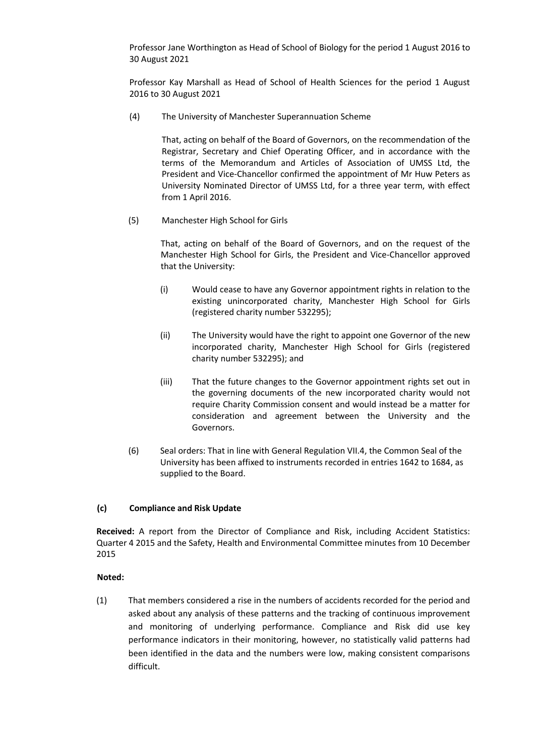Professor Jane Worthington as Head of School of Biology for the period 1 August 2016 to 30 August 2021

Professor Kay Marshall as Head of School of Health Sciences for the period 1 August 2016 to 30 August 2021

(4) The University of Manchester Superannuation Scheme

That, acting on behalf of the Board of Governors, on the recommendation of the Registrar, Secretary and Chief Operating Officer, and in accordance with the terms of the Memorandum and Articles of Association of UMSS Ltd, the President and Vice-Chancellor confirmed the appointment of Mr Huw Peters as University Nominated Director of UMSS Ltd, for a three year term, with effect from 1 April 2016.

(5) Manchester High School for Girls

That, acting on behalf of the Board of Governors, and on the request of the Manchester High School for Girls, the President and Vice-Chancellor approved that the University:

- (i) Would cease to have any Governor appointment rights in relation to the existing unincorporated charity, Manchester High School for Girls (registered charity number 532295);
- (ii) The University would have the right to appoint one Governor of the new incorporated charity, Manchester High School for Girls (registered charity number 532295); and
- (iii) That the future changes to the Governor appointment rights set out in the governing documents of the new incorporated charity would not require Charity Commission consent and would instead be a matter for consideration and agreement between the University and the Governors.
- (6) Seal orders: That in line with General Regulation VII.4, the Common Seal of the University has been affixed to instruments recorded in entries 1642 to 1684, as supplied to the Board.

# **(c) Compliance and Risk Update**

**Received:** A report from the Director of Compliance and Risk, including Accident Statistics: Quarter 4 2015 and the Safety, Health and Environmental Committee minutes from 10 December 2015

### **Noted:**

(1) That members considered a rise in the numbers of accidents recorded for the period and asked about any analysis of these patterns and the tracking of continuous improvement and monitoring of underlying performance. Compliance and Risk did use key performance indicators in their monitoring, however, no statistically valid patterns had been identified in the data and the numbers were low, making consistent comparisons difficult.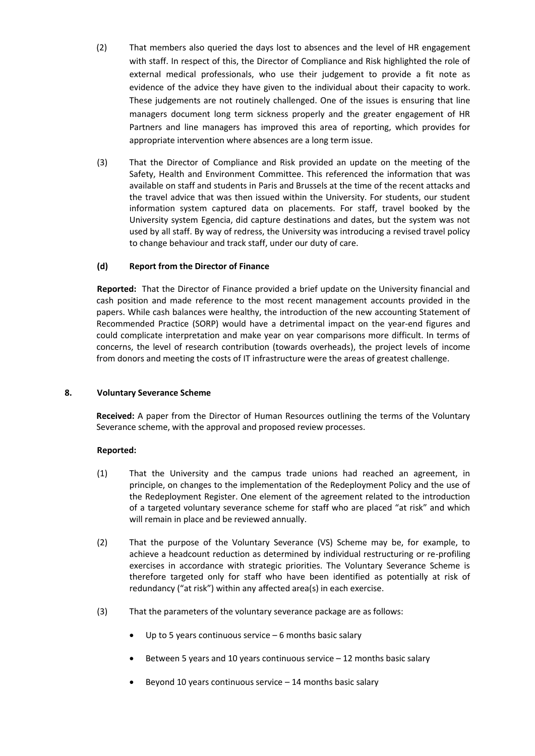- (2) That members also queried the days lost to absences and the level of HR engagement with staff. In respect of this, the Director of Compliance and Risk highlighted the role of external medical professionals, who use their judgement to provide a fit note as evidence of the advice they have given to the individual about their capacity to work. These judgements are not routinely challenged. One of the issues is ensuring that line managers document long term sickness properly and the greater engagement of HR Partners and line managers has improved this area of reporting, which provides for appropriate intervention where absences are a long term issue.
- (3) That the Director of Compliance and Risk provided an update on the meeting of the Safety, Health and Environment Committee. This referenced the information that was available on staff and students in Paris and Brussels at the time of the recent attacks and the travel advice that was then issued within the University. For students, our student information system captured data on placements. For staff, travel booked by the University system Egencia, did capture destinations and dates, but the system was not used by all staff. By way of redress, the University was introducing a revised travel policy to change behaviour and track staff, under our duty of care.

# **(d) Report from the Director of Finance**

**Reported:** That the Director of Finance provided a brief update on the University financial and cash position and made reference to the most recent management accounts provided in the papers. While cash balances were healthy, the introduction of the new accounting Statement of Recommended Practice (SORP) would have a detrimental impact on the year-end figures and could complicate interpretation and make year on year comparisons more difficult. In terms of concerns, the level of research contribution (towards overheads), the project levels of income from donors and meeting the costs of IT infrastructure were the areas of greatest challenge.

# **8. Voluntary Severance Scheme**

**Received:** A paper from the Director of Human Resources outlining the terms of the Voluntary Severance scheme, with the approval and proposed review processes.

- (1) That the University and the campus trade unions had reached an agreement, in principle, on changes to the implementation of the Redeployment Policy and the use of the Redeployment Register. One element of the agreement related to the introduction of a targeted voluntary severance scheme for staff who are placed "at risk" and which will remain in place and be reviewed annually.
- (2) That the purpose of the Voluntary Severance (VS) Scheme may be, for example, to achieve a headcount reduction as determined by individual restructuring or re-profiling exercises in accordance with strategic priorities. The Voluntary Severance Scheme is therefore targeted only for staff who have been identified as potentially at risk of redundancy ("at risk") within any affected area(s) in each exercise.
- (3) That the parameters of the voluntary severance package are as follows:
	- Up to 5 years continuous service 6 months basic salary
	- Between 5 years and 10 years continuous service 12 months basic salary
	- Beyond 10 years continuous service 14 months basic salary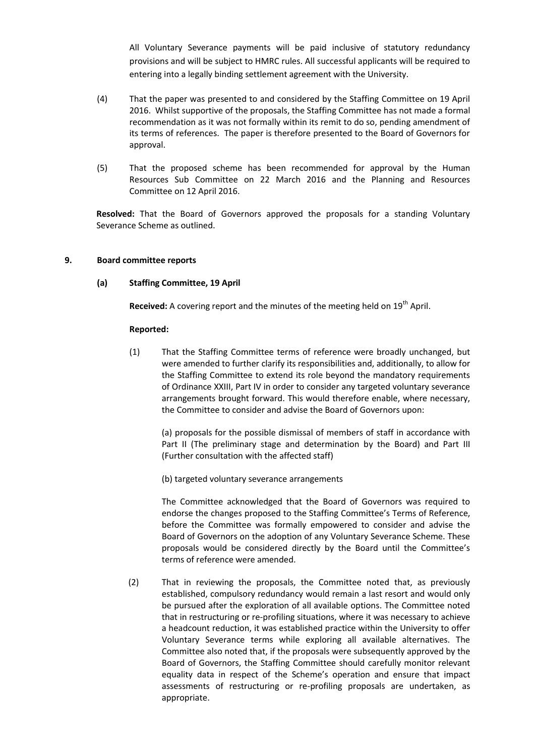All Voluntary Severance payments will be paid inclusive of statutory redundancy provisions and will be subject to HMRC rules. All successful applicants will be required to entering into a legally binding settlement agreement with the University.

- (4) That the paper was presented to and considered by the Staffing Committee on 19 April 2016. Whilst supportive of the proposals, the Staffing Committee has not made a formal recommendation as it was not formally within its remit to do so, pending amendment of its terms of references. The paper is therefore presented to the Board of Governors for approval.
- (5) That the proposed scheme has been recommended for approval by the Human Resources Sub Committee on 22 March 2016 and the Planning and Resources Committee on 12 April 2016.

**Resolved:** That the Board of Governors approved the proposals for a standing Voluntary Severance Scheme as outlined.

### **9. Board committee reports**

### **(a) Staffing Committee, 19 April**

**Received:** A covering report and the minutes of the meeting held on 19<sup>th</sup> April.

#### **Reported:**

(1) That the Staffing Committee terms of reference were broadly unchanged, but were amended to further clarify its responsibilities and, additionally, to allow for the Staffing Committee to extend its role beyond the mandatory requirements of Ordinance XXIII, Part IV in order to consider any targeted voluntary severance arrangements brought forward. This would therefore enable, where necessary, the Committee to consider and advise the Board of Governors upon:

(a) proposals for the possible dismissal of members of staff in accordance with Part II (The preliminary stage and determination by the Board) and Part III (Further consultation with the affected staff)

(b) targeted voluntary severance arrangements

The Committee acknowledged that the Board of Governors was required to endorse the changes proposed to the Staffing Committee's Terms of Reference, before the Committee was formally empowered to consider and advise the Board of Governors on the adoption of any Voluntary Severance Scheme. These proposals would be considered directly by the Board until the Committee's terms of reference were amended.

(2) That in reviewing the proposals, the Committee noted that, as previously established, compulsory redundancy would remain a last resort and would only be pursued after the exploration of all available options. The Committee noted that in restructuring or re-profiling situations, where it was necessary to achieve a headcount reduction, it was established practice within the University to offer Voluntary Severance terms while exploring all available alternatives. The Committee also noted that, if the proposals were subsequently approved by the Board of Governors, the Staffing Committee should carefully monitor relevant equality data in respect of the Scheme's operation and ensure that impact assessments of restructuring or re-profiling proposals are undertaken, as appropriate.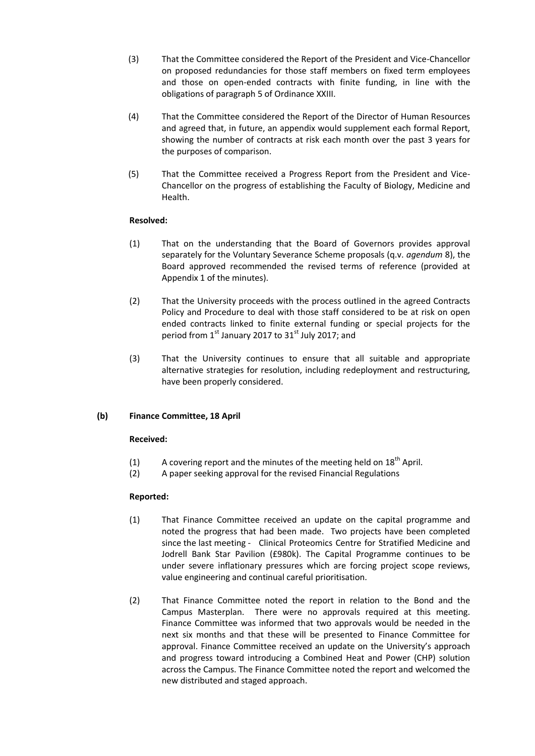- (3) That the Committee considered the Report of the President and Vice-Chancellor on proposed redundancies for those staff members on fixed term employees and those on open-ended contracts with finite funding, in line with the obligations of paragraph 5 of Ordinance XXIII.
- (4) That the Committee considered the Report of the Director of Human Resources and agreed that, in future, an appendix would supplement each formal Report, showing the number of contracts at risk each month over the past 3 years for the purposes of comparison.
- (5) That the Committee received a Progress Report from the President and Vice-Chancellor on the progress of establishing the Faculty of Biology, Medicine and Health.

### **Resolved:**

- (1) That on the understanding that the Board of Governors provides approval separately for the Voluntary Severance Scheme proposals (q.v. *agendum* 8), the Board approved recommended the revised terms of reference (provided at Appendix 1 of the minutes).
- (2) That the University proceeds with the process outlined in the agreed Contracts Policy and Procedure to deal with those staff considered to be at risk on open ended contracts linked to finite external funding or special projects for the period from 1<sup>st</sup> January 2017 to 31<sup>st</sup> July 2017; and
- (3) That the University continues to ensure that all suitable and appropriate alternative strategies for resolution, including redeployment and restructuring, have been properly considered.

# **(b) Finance Committee, 18 April**

# **Received:**

- (1) A covering report and the minutes of the meeting held on  $18<sup>th</sup>$  April.
- (2) A paper seeking approval for the revised Financial Regulations

- (1) That Finance Committee received an update on the capital programme and noted the progress that had been made. Two projects have been completed since the last meeting - Clinical Proteomics Centre for Stratified Medicine and Jodrell Bank Star Pavilion (£980k). The Capital Programme continues to be under severe inflationary pressures which are forcing project scope reviews, value engineering and continual careful prioritisation.
- (2) That Finance Committee noted the report in relation to the Bond and the Campus Masterplan. There were no approvals required at this meeting. Finance Committee was informed that two approvals would be needed in the next six months and that these will be presented to Finance Committee for approval. Finance Committee received an update on the University's approach and progress toward introducing a Combined Heat and Power (CHP) solution across the Campus. The Finance Committee noted the report and welcomed the new distributed and staged approach.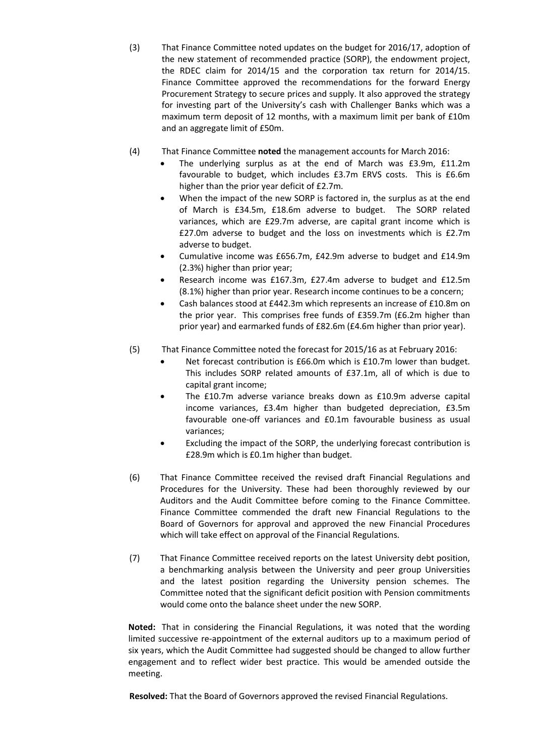- (3) That Finance Committee noted updates on the budget for 2016/17, adoption of the new statement of recommended practice (SORP), the endowment project, the RDEC claim for 2014/15 and the corporation tax return for 2014/15. Finance Committee approved the recommendations for the forward Energy Procurement Strategy to secure prices and supply. It also approved the strategy for investing part of the University's cash with Challenger Banks which was a maximum term deposit of 12 months, with a maximum limit per bank of £10m and an aggregate limit of £50m.
- (4) That Finance Committee **noted** the management accounts for March 2016:
	- The underlying surplus as at the end of March was £3.9m, £11.2m favourable to budget, which includes £3.7m ERVS costs. This is £6.6m higher than the prior year deficit of £2.7m.
	- When the impact of the new SORP is factored in, the surplus as at the end of March is £34.5m, £18.6m adverse to budget. The SORP related variances, which are £29.7m adverse, are capital grant income which is £27.0m adverse to budget and the loss on investments which is £2.7m adverse to budget.
	- Cumulative income was £656.7m, £42.9m adverse to budget and £14.9m (2.3%) higher than prior year;
	- Research income was £167.3m, £27.4m adverse to budget and £12.5m (8.1%) higher than prior year. Research income continues to be a concern;
	- Cash balances stood at £442.3m which represents an increase of £10.8m on the prior year. This comprises free funds of £359.7m (£6.2m higher than prior year) and earmarked funds of £82.6m (£4.6m higher than prior year).
- (5) That Finance Committee noted the forecast for 2015/16 as at February 2016:
	- Net forecast contribution is £66.0m which is £10.7m lower than budget. This includes SORP related amounts of £37.1m, all of which is due to capital grant income;
	- The £10.7m adverse variance breaks down as £10.9m adverse capital income variances, £3.4m higher than budgeted depreciation, £3.5m favourable one-off variances and £0.1m favourable business as usual variances;
	- Excluding the impact of the SORP, the underlying forecast contribution is £28.9m which is £0.1m higher than budget.
- (6) That Finance Committee received the revised draft Financial Regulations and Procedures for the University. These had been thoroughly reviewed by our Auditors and the Audit Committee before coming to the Finance Committee. Finance Committee commended the draft new Financial Regulations to the Board of Governors for approval and approved the new Financial Procedures which will take effect on approval of the Financial Regulations.
- (7) That Finance Committee received reports on the latest University debt position, a benchmarking analysis between the University and peer group Universities and the latest position regarding the University pension schemes. The Committee noted that the significant deficit position with Pension commitments would come onto the balance sheet under the new SORP.

**Noted:** That in considering the Financial Regulations, it was noted that the wording limited successive re-appointment of the external auditors up to a maximum period of six years, which the Audit Committee had suggested should be changed to allow further engagement and to reflect wider best practice. This would be amended outside the meeting.

**Resolved:** That the Board of Governors approved the revised Financial Regulations.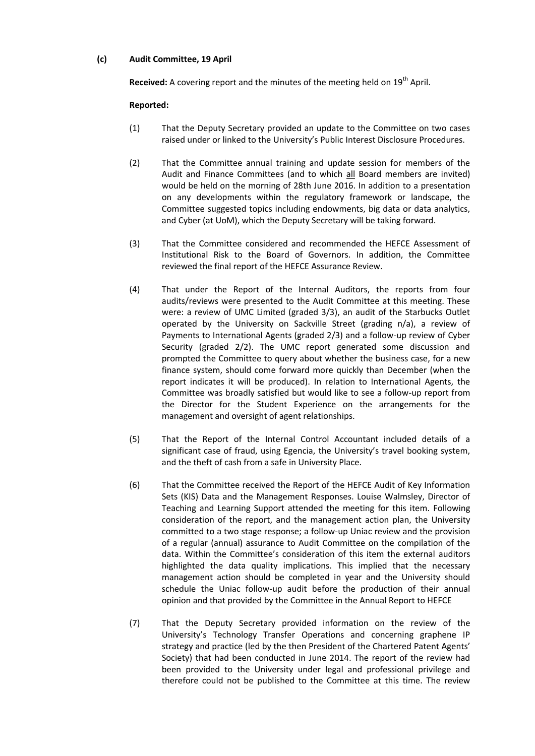### **(c) Audit Committee, 19 April**

**Received:** A covering report and the minutes of the meeting held on 19<sup>th</sup> April.

- (1) That the Deputy Secretary provided an update to the Committee on two cases raised under or linked to the University's Public Interest Disclosure Procedures.
- (2) That the Committee annual training and update session for members of the Audit and Finance Committees (and to which all Board members are invited) would be held on the morning of 28th June 2016. In addition to a presentation on any developments within the regulatory framework or landscape, the Committee suggested topics including endowments, big data or data analytics, and Cyber (at UoM), which the Deputy Secretary will be taking forward.
- (3) That the Committee considered and recommended the HEFCE Assessment of Institutional Risk to the Board of Governors. In addition, the Committee reviewed the final report of the HEFCE Assurance Review.
- (4) That under the Report of the Internal Auditors, the reports from four audits/reviews were presented to the Audit Committee at this meeting. These were: a review of UMC Limited (graded 3/3), an audit of the Starbucks Outlet operated by the University on Sackville Street (grading n/a), a review of Payments to International Agents (graded 2/3) and a follow-up review of Cyber Security (graded 2/2). The UMC report generated some discussion and prompted the Committee to query about whether the business case, for a new finance system, should come forward more quickly than December (when the report indicates it will be produced). In relation to International Agents, the Committee was broadly satisfied but would like to see a follow-up report from the Director for the Student Experience on the arrangements for the management and oversight of agent relationships.
- (5) That the Report of the Internal Control Accountant included details of a significant case of fraud, using Egencia, the University's travel booking system, and the theft of cash from a safe in University Place.
- (6) That the Committee received the Report of the HEFCE Audit of Key Information Sets (KIS) Data and the Management Responses. Louise Walmsley, Director of Teaching and Learning Support attended the meeting for this item. Following consideration of the report, and the management action plan, the University committed to a two stage response; a follow-up Uniac review and the provision of a regular (annual) assurance to Audit Committee on the compilation of the data. Within the Committee's consideration of this item the external auditors highlighted the data quality implications. This implied that the necessary management action should be completed in year and the University should schedule the Uniac follow-up audit before the production of their annual opinion and that provided by the Committee in the Annual Report to HEFCE
- (7) That the Deputy Secretary provided information on the review of the University's Technology Transfer Operations and concerning graphene IP strategy and practice (led by the then President of the Chartered Patent Agents' Society) that had been conducted in June 2014. The report of the review had been provided to the University under legal and professional privilege and therefore could not be published to the Committee at this time. The review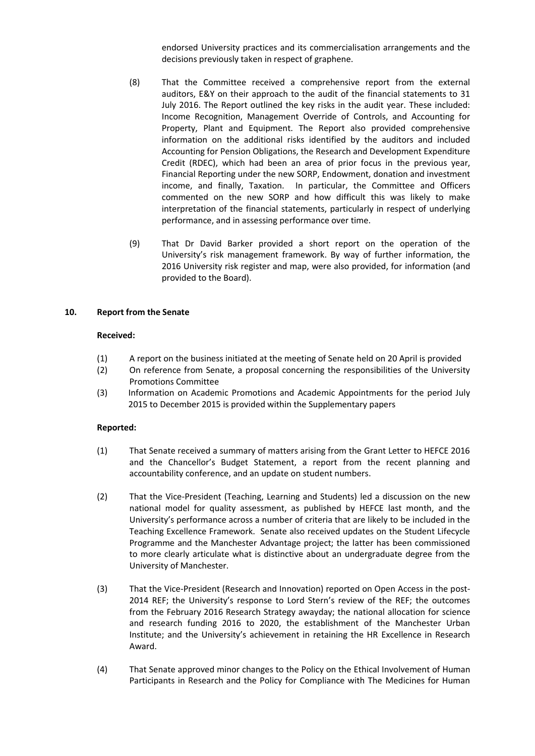endorsed University practices and its commercialisation arrangements and the decisions previously taken in respect of graphene.

- (8) That the Committee received a comprehensive report from the external auditors, E&Y on their approach to the audit of the financial statements to 31 July 2016. The Report outlined the key risks in the audit year. These included: Income Recognition, Management Override of Controls, and Accounting for Property, Plant and Equipment. The Report also provided comprehensive information on the additional risks identified by the auditors and included Accounting for Pension Obligations, the Research and Development Expenditure Credit (RDEC), which had been an area of prior focus in the previous year, Financial Reporting under the new SORP, Endowment, donation and investment income, and finally, Taxation. In particular, the Committee and Officers commented on the new SORP and how difficult this was likely to make interpretation of the financial statements, particularly in respect of underlying performance, and in assessing performance over time.
- (9) That Dr David Barker provided a short report on the operation of the University's risk management framework. By way of further information, the 2016 University risk register and map, were also provided, for information (and provided to the Board).

### **10. Report from the Senate**

#### **Received:**

- (1) A report on the business initiated at the meeting of Senate held on 20 April is provided
- (2) On reference from Senate, a proposal concerning the responsibilities of the University Promotions Committee
- (3) Information on Academic Promotions and Academic Appointments for the period July 2015 to December 2015 is provided within the Supplementary papers

- (1) That Senate received a summary of matters arising from the Grant Letter to HEFCE 2016 and the Chancellor's Budget Statement, a report from the recent planning and accountability conference, and an update on student numbers.
- (2) That the Vice-President (Teaching, Learning and Students) led a discussion on the new national model for quality assessment, as published by HEFCE last month, and the University's performance across a number of criteria that are likely to be included in the Teaching Excellence Framework. Senate also received updates on the Student Lifecycle Programme and the Manchester Advantage project; the latter has been commissioned to more clearly articulate what is distinctive about an undergraduate degree from the University of Manchester.
- (3) That the Vice-President (Research and Innovation) reported on Open Access in the post-2014 REF; the University's response to Lord Stern's review of the REF; the outcomes from the February 2016 Research Strategy awayday; the national allocation for science and research funding 2016 to 2020, the establishment of the Manchester Urban Institute; and the University's achievement in retaining the HR Excellence in Research Award.
- (4) That Senate approved minor changes to the Policy on the Ethical Involvement of Human Participants in Research and the Policy for Compliance with The Medicines for Human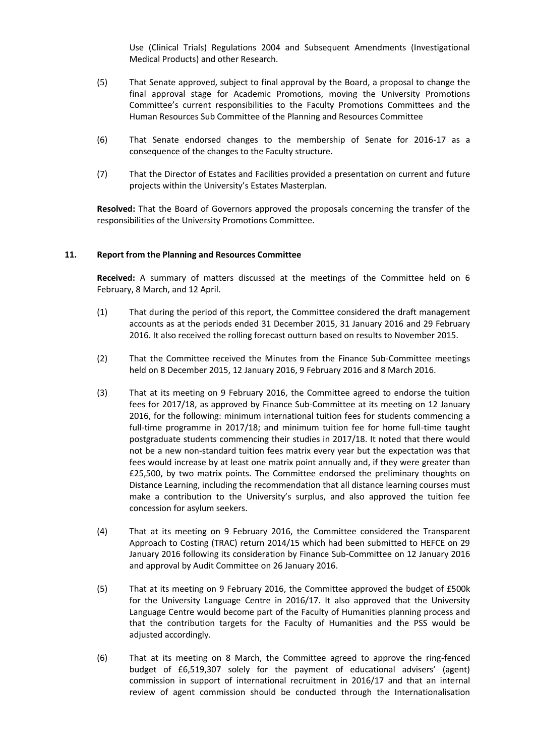Use (Clinical Trials) Regulations 2004 and Subsequent Amendments (Investigational Medical Products) and other Research.

- (5) That Senate approved, subject to final approval by the Board, a proposal to change the final approval stage for Academic Promotions, moving the University Promotions Committee's current responsibilities to the Faculty Promotions Committees and the Human Resources Sub Committee of the Planning and Resources Committee
- (6) That Senate endorsed changes to the membership of Senate for 2016-17 as a consequence of the changes to the Faculty structure.
- (7) That the Director of Estates and Facilities provided a presentation on current and future projects within the University's Estates Masterplan.

**Resolved:** That the Board of Governors approved the proposals concerning the transfer of the responsibilities of the University Promotions Committee.

### **11. Report from the Planning and Resources Committee**

**Received:** A summary of matters discussed at the meetings of the Committee held on 6 February, 8 March, and 12 April.

- (1) That during the period of this report, the Committee considered the draft management accounts as at the periods ended 31 December 2015, 31 January 2016 and 29 February 2016. It also received the rolling forecast outturn based on results to November 2015.
- (2) That the Committee received the Minutes from the Finance Sub-Committee meetings held on 8 December 2015, 12 January 2016, 9 February 2016 and 8 March 2016.
- (3) That at its meeting on 9 February 2016, the Committee agreed to endorse the tuition fees for 2017/18, as approved by Finance Sub-Committee at its meeting on 12 January 2016, for the following: minimum international tuition fees for students commencing a full-time programme in 2017/18; and minimum tuition fee for home full-time taught postgraduate students commencing their studies in 2017/18. It noted that there would not be a new non-standard tuition fees matrix every year but the expectation was that fees would increase by at least one matrix point annually and, if they were greater than £25,500, by two matrix points. The Committee endorsed the preliminary thoughts on Distance Learning, including the recommendation that all distance learning courses must make a contribution to the University's surplus, and also approved the tuition fee concession for asylum seekers.
- (4) That at its meeting on 9 February 2016, the Committee considered the Transparent Approach to Costing (TRAC) return 2014/15 which had been submitted to HEFCE on 29 January 2016 following its consideration by Finance Sub-Committee on 12 January 2016 and approval by Audit Committee on 26 January 2016.
- (5) That at its meeting on 9 February 2016, the Committee approved the budget of £500k for the University Language Centre in 2016/17. It also approved that the University Language Centre would become part of the Faculty of Humanities planning process and that the contribution targets for the Faculty of Humanities and the PSS would be adjusted accordingly.
- (6) That at its meeting on 8 March, the Committee agreed to approve the ring-fenced budget of £6,519,307 solely for the payment of educational advisers' (agent) commission in support of international recruitment in 2016/17 and that an internal review of agent commission should be conducted through the Internationalisation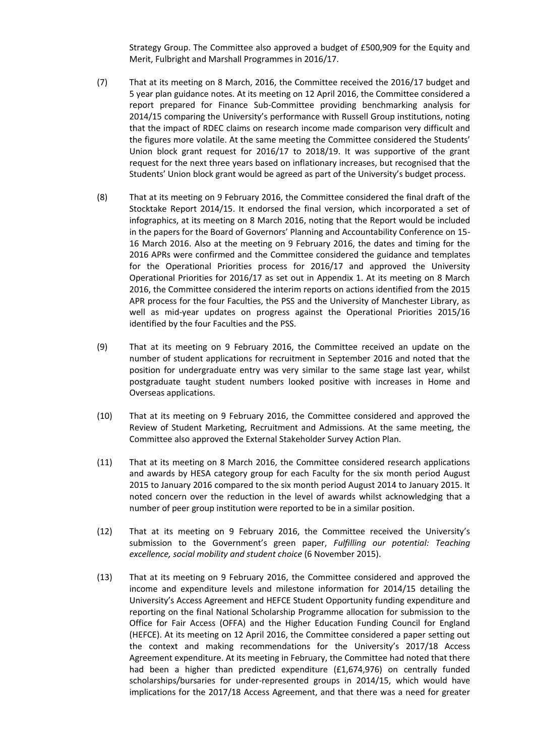Strategy Group. The Committee also approved a budget of £500,909 for the Equity and Merit, Fulbright and Marshall Programmes in 2016/17.

- (7) That at its meeting on 8 March, 2016, the Committee received the 2016/17 budget and 5 year plan guidance notes. At its meeting on 12 April 2016, the Committee considered a report prepared for Finance Sub-Committee providing benchmarking analysis for 2014/15 comparing the University's performance with Russell Group institutions, noting that the impact of RDEC claims on research income made comparison very difficult and the figures more volatile. At the same meeting the Committee considered the Students' Union block grant request for 2016/17 to 2018/19. It was supportive of the grant request for the next three years based on inflationary increases, but recognised that the Students' Union block grant would be agreed as part of the University's budget process.
- (8) That at its meeting on 9 February 2016, the Committee considered the final draft of the Stocktake Report 2014/15. It endorsed the final version, which incorporated a set of infographics, at its meeting on 8 March 2016, noting that the Report would be included in the papers for the Board of Governors' Planning and Accountability Conference on 15- 16 March 2016. Also at the meeting on 9 February 2016, the dates and timing for the 2016 APRs were confirmed and the Committee considered the guidance and templates for the Operational Priorities process for 2016/17 and approved the University Operational Priorities for 2016/17 as set out in Appendix 1. At its meeting on 8 March 2016, the Committee considered the interim reports on actions identified from the 2015 APR process for the four Faculties, the PSS and the University of Manchester Library, as well as mid-year updates on progress against the Operational Priorities 2015/16 identified by the four Faculties and the PSS.
- (9) That at its meeting on 9 February 2016, the Committee received an update on the number of student applications for recruitment in September 2016 and noted that the position for undergraduate entry was very similar to the same stage last year, whilst postgraduate taught student numbers looked positive with increases in Home and Overseas applications.
- (10) That at its meeting on 9 February 2016, the Committee considered and approved the Review of Student Marketing, Recruitment and Admissions. At the same meeting, the Committee also approved the External Stakeholder Survey Action Plan.
- (11) That at its meeting on 8 March 2016, the Committee considered research applications and awards by HESA category group for each Faculty for the six month period August 2015 to January 2016 compared to the six month period August 2014 to January 2015. It noted concern over the reduction in the level of awards whilst acknowledging that a number of peer group institution were reported to be in a similar position.
- (12) That at its meeting on 9 February 2016, the Committee received the University's submission to the Government's green paper, *Fulfilling our potential: Teaching excellence, social mobility and student choice* (6 November 2015).
- (13) That at its meeting on 9 February 2016, the Committee considered and approved the income and expenditure levels and milestone information for 2014/15 detailing the University's Access Agreement and HEFCE Student Opportunity funding expenditure and reporting on the final National Scholarship Programme allocation for submission to the Office for Fair Access (OFFA) and the Higher Education Funding Council for England (HEFCE). At its meeting on 12 April 2016, the Committee considered a paper setting out the context and making recommendations for the University's 2017/18 Access Agreement expenditure. At its meeting in February, the Committee had noted that there had been a higher than predicted expenditure (£1,674,976) on centrally funded scholarships/bursaries for under-represented groups in 2014/15, which would have implications for the 2017/18 Access Agreement, and that there was a need for greater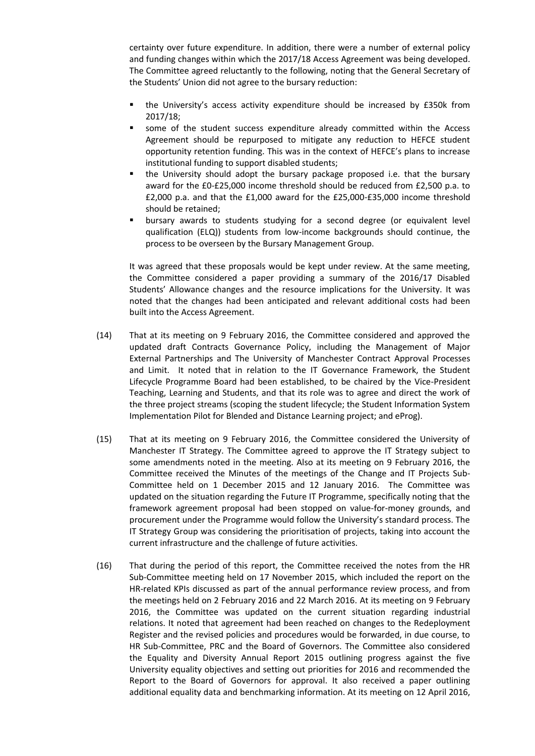certainty over future expenditure. In addition, there were a number of external policy and funding changes within which the 2017/18 Access Agreement was being developed. The Committee agreed reluctantly to the following, noting that the General Secretary of the Students' Union did not agree to the bursary reduction:

- the University's access activity expenditure should be increased by £350k from 2017/18;
- some of the student success expenditure already committed within the Access Agreement should be repurposed to mitigate any reduction to HEFCE student opportunity retention funding. This was in the context of HEFCE's plans to increase institutional funding to support disabled students;
- the University should adopt the bursary package proposed i.e. that the bursary award for the £0-£25,000 income threshold should be reduced from £2,500 p.a. to £2,000 p.a. and that the £1,000 award for the £25,000-£35,000 income threshold should be retained;
- bursary awards to students studying for a second degree (or equivalent level qualification (ELQ)) students from low-income backgrounds should continue, the process to be overseen by the Bursary Management Group.

It was agreed that these proposals would be kept under review. At the same meeting, the Committee considered a paper providing a summary of the 2016/17 Disabled Students' Allowance changes and the resource implications for the University. It was noted that the changes had been anticipated and relevant additional costs had been built into the Access Agreement.

- (14) That at its meeting on 9 February 2016, the Committee considered and approved the updated draft Contracts Governance Policy, including the Management of Major External Partnerships and The University of Manchester Contract Approval Processes and Limit. It noted that in relation to the IT Governance Framework, the Student Lifecycle Programme Board had been established, to be chaired by the Vice-President Teaching, Learning and Students, and that its role was to agree and direct the work of the three project streams (scoping the student lifecycle; the Student Information System Implementation Pilot for Blended and Distance Learning project; and eProg).
- (15) That at its meeting on 9 February 2016, the Committee considered the University of Manchester IT Strategy. The Committee agreed to approve the IT Strategy subject to some amendments noted in the meeting. Also at its meeting on 9 February 2016, the Committee received the Minutes of the meetings of the Change and IT Projects Sub-Committee held on 1 December 2015 and 12 January 2016. The Committee was updated on the situation regarding the Future IT Programme, specifically noting that the framework agreement proposal had been stopped on value-for-money grounds, and procurement under the Programme would follow the University's standard process. The IT Strategy Group was considering the prioritisation of projects, taking into account the current infrastructure and the challenge of future activities.
- (16) That during the period of this report, the Committee received the notes from the HR Sub-Committee meeting held on 17 November 2015, which included the report on the HR-related KPIs discussed as part of the annual performance review process, and from the meetings held on 2 February 2016 and 22 March 2016. At its meeting on 9 February 2016, the Committee was updated on the current situation regarding industrial relations. It noted that agreement had been reached on changes to the Redeployment Register and the revised policies and procedures would be forwarded, in due course, to HR Sub-Committee, PRC and the Board of Governors. The Committee also considered the Equality and Diversity Annual Report 2015 outlining progress against the five University equality objectives and setting out priorities for 2016 and recommended the Report to the Board of Governors for approval. It also received a paper outlining additional equality data and benchmarking information. At its meeting on 12 April 2016,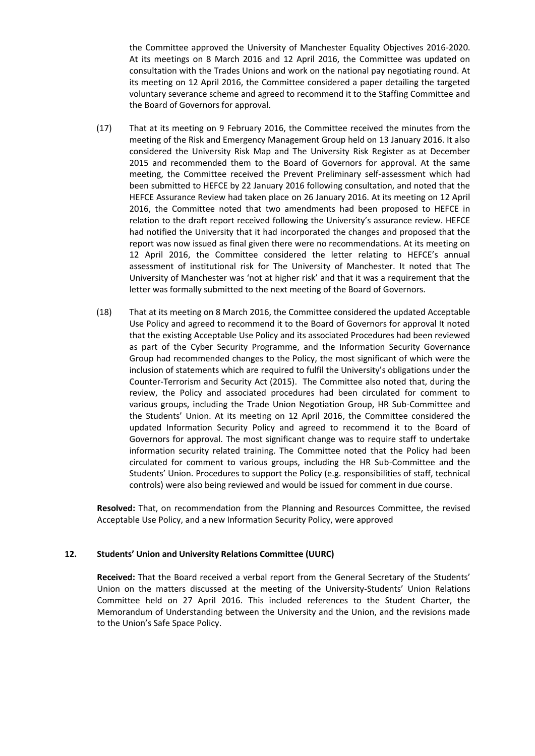the Committee approved the University of Manchester Equality Objectives 2016-2020. At its meetings on 8 March 2016 and 12 April 2016, the Committee was updated on consultation with the Trades Unions and work on the national pay negotiating round. At its meeting on 12 April 2016, the Committee considered a paper detailing the targeted voluntary severance scheme and agreed to recommend it to the Staffing Committee and the Board of Governors for approval.

- (17) That at its meeting on 9 February 2016, the Committee received the minutes from the meeting of the Risk and Emergency Management Group held on 13 January 2016. It also considered the University Risk Map and The University Risk Register as at December 2015 and recommended them to the Board of Governors for approval. At the same meeting, the Committee received the Prevent Preliminary self-assessment which had been submitted to HEFCE by 22 January 2016 following consultation, and noted that the HEFCE Assurance Review had taken place on 26 January 2016. At its meeting on 12 April 2016, the Committee noted that two amendments had been proposed to HEFCE in relation to the draft report received following the University's assurance review. HEFCE had notified the University that it had incorporated the changes and proposed that the report was now issued as final given there were no recommendations. At its meeting on 12 April 2016, the Committee considered the letter relating to HEFCE's annual assessment of institutional risk for The University of Manchester. It noted that The University of Manchester was 'not at higher risk' and that it was a requirement that the letter was formally submitted to the next meeting of the Board of Governors.
- (18) That at its meeting on 8 March 2016, the Committee considered the updated Acceptable Use Policy and agreed to recommend it to the Board of Governors for approval It noted that the existing Acceptable Use Policy and its associated Procedures had been reviewed as part of the Cyber Security Programme, and the Information Security Governance Group had recommended changes to the Policy, the most significant of which were the inclusion of statements which are required to fulfil the University's obligations under the Counter-Terrorism and Security Act (2015). The Committee also noted that, during the review, the Policy and associated procedures had been circulated for comment to various groups, including the Trade Union Negotiation Group, HR Sub-Committee and the Students' Union. At its meeting on 12 April 2016, the Committee considered the updated Information Security Policy and agreed to recommend it to the Board of Governors for approval. The most significant change was to require staff to undertake information security related training. The Committee noted that the Policy had been circulated for comment to various groups, including the HR Sub-Committee and the Students' Union. Procedures to support the Policy (e.g. responsibilities of staff, technical controls) were also being reviewed and would be issued for comment in due course.

**Resolved:** That, on recommendation from the Planning and Resources Committee, the revised Acceptable Use Policy, and a new Information Security Policy, were approved

# **12. Students' Union and University Relations Committee (UURC)**

**Received:** That the Board received a verbal report from the General Secretary of the Students' Union on the matters discussed at the meeting of the University-Students' Union Relations Committee held on 27 April 2016. This included references to the Student Charter, the Memorandum of Understanding between the University and the Union, and the revisions made to the Union's Safe Space Policy.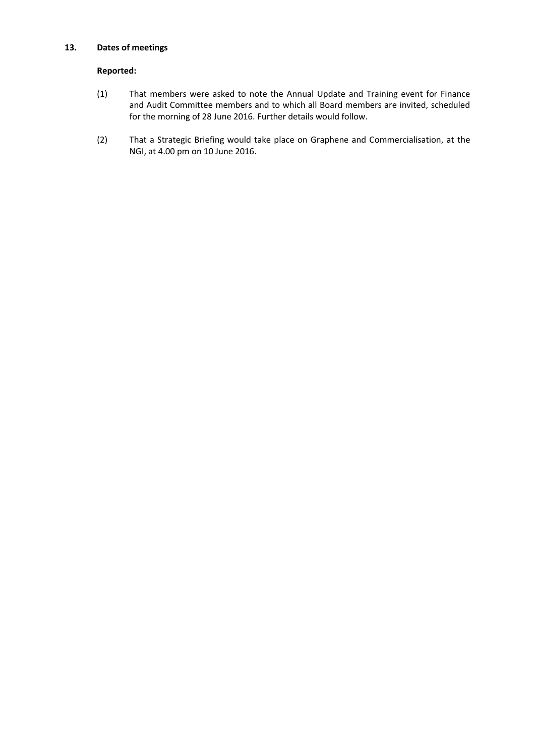# **13. Dates of meetings**

- (1) That members were asked to note the Annual Update and Training event for Finance and Audit Committee members and to which all Board members are invited, scheduled for the morning of 28 June 2016. Further details would follow.
- (2) That a Strategic Briefing would take place on Graphene and Commercialisation, at the NGI, at 4.00 pm on 10 June 2016.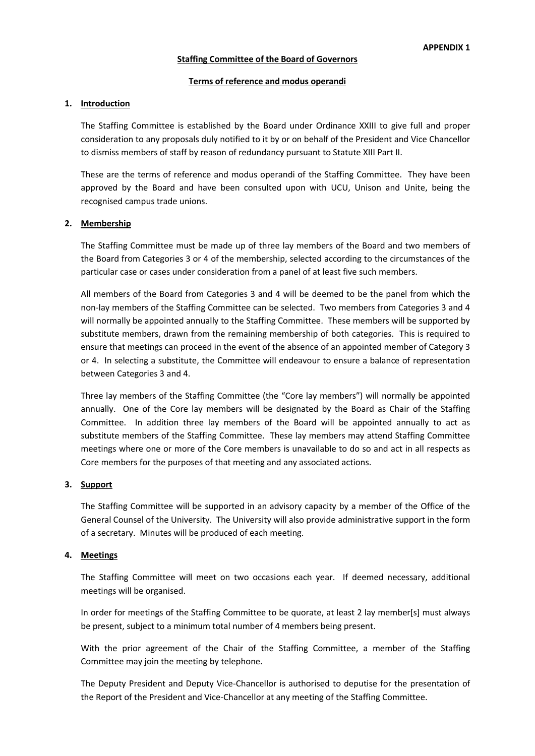### **Staffing Committee of the Board of Governors**

#### **Terms of reference and modus operandi**

### **1. Introduction**

The Staffing Committee is established by the Board under Ordinance XXIII to give full and proper consideration to any proposals duly notified to it by or on behalf of the President and Vice Chancellor to dismiss members of staff by reason of redundancy pursuant to Statute XIII Part II.

These are the terms of reference and modus operandi of the Staffing Committee. They have been approved by the Board and have been consulted upon with UCU, Unison and Unite, being the recognised campus trade unions.

#### **2. Membership**

The Staffing Committee must be made up of three lay members of the Board and two members of the Board from Categories 3 or 4 of the membership, selected according to the circumstances of the particular case or cases under consideration from a panel of at least five such members.

All members of the Board from Categories 3 and 4 will be deemed to be the panel from which the non-lay members of the Staffing Committee can be selected. Two members from Categories 3 and 4 will normally be appointed annually to the Staffing Committee. These members will be supported by substitute members, drawn from the remaining membership of both categories. This is required to ensure that meetings can proceed in the event of the absence of an appointed member of Category 3 or 4. In selecting a substitute, the Committee will endeavour to ensure a balance of representation between Categories 3 and 4.

Three lay members of the Staffing Committee (the "Core lay members") will normally be appointed annually. One of the Core lay members will be designated by the Board as Chair of the Staffing Committee. In addition three lay members of the Board will be appointed annually to act as substitute members of the Staffing Committee. These lay members may attend Staffing Committee meetings where one or more of the Core members is unavailable to do so and act in all respects as Core members for the purposes of that meeting and any associated actions.

#### **3. Support**

The Staffing Committee will be supported in an advisory capacity by a member of the Office of the General Counsel of the University. The University will also provide administrative support in the form of a secretary. Minutes will be produced of each meeting.

### **4. Meetings**

The Staffing Committee will meet on two occasions each year. If deemed necessary, additional meetings will be organised.

In order for meetings of the Staffing Committee to be quorate, at least 2 lay member[s] must always be present, subject to a minimum total number of 4 members being present.

With the prior agreement of the Chair of the Staffing Committee, a member of the Staffing Committee may join the meeting by telephone.

The Deputy President and Deputy Vice-Chancellor is authorised to deputise for the presentation of the Report of the President and Vice-Chancellor at any meeting of the Staffing Committee.